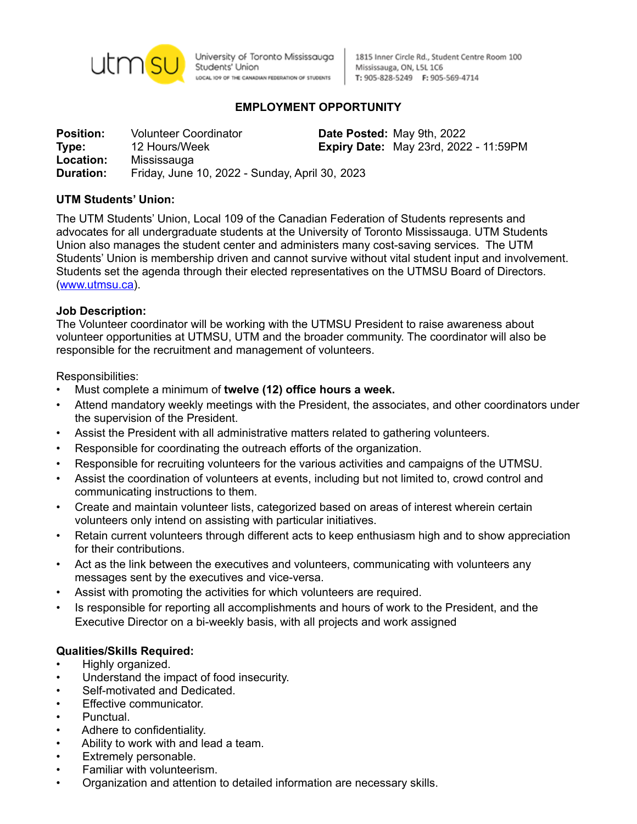

University of Toronto Mississauga Students' Union LOCAL IO9 OF THE CANADIAN FEDERATION OF STUDENTS

1815 Inner Circle Rd., Student Centre Room 100 Mississauga, ON, L5L 1C6 T: 905-828-5249 F: 905-569-4714

# **EMPLOYMENT OPPORTUNITY**

**Position:** Volunteer Coordinator **Date Posted:** May 9th, 2022 **Type:** 12 Hours/Week **Expiry Date:** May 23rd, 2022 - 11:59PM **Location:** Mississauga **Duration:** Friday, June 10, 2022 - Sunday, April 30, 2023

## **UTM Students' Union:**

The UTM Students' Union, Local 109 of the Canadian Federation of Students represents and advocates for all undergraduate students at the University of Toronto Mississauga. UTM Students Union also manages the student center and administers many cost-saving services. The UTM Students' Union is membership driven and cannot survive without vital student input and involvement. Students set the agenda through their elected representatives on the UTMSU Board of Directors. ([www.utmsu.ca\)](http://www.utmsu.ca).

#### **Job Description:**

The Volunteer coordinator will be working with the UTMSU President to raise awareness about volunteer opportunities at UTMSU, UTM and the broader community. The coordinator will also be responsible for the recruitment and management of volunteers.

#### Responsibilities:

- Must complete a minimum of **twelve (12) office hours a week.**
- Attend mandatory weekly meetings with the President, the associates, and other coordinators under the supervision of the President.
- Assist the President with all administrative matters related to gathering volunteers.
- Responsible for coordinating the outreach efforts of the organization.
- Responsible for recruiting volunteers for the various activities and campaigns of the UTMSU.
- Assist the coordination of volunteers at events, including but not limited to, crowd control and communicating instructions to them.
- Create and maintain volunteer lists, categorized based on areas of interest wherein certain volunteers only intend on assisting with particular initiatives.
- Retain current volunteers through different acts to keep enthusiasm high and to show appreciation for their contributions.
- Act as the link between the executives and volunteers, communicating with volunteers any messages sent by the executives and vice-versa.
- Assist with promoting the activities for which volunteers are required.
- Is responsible for reporting all accomplishments and hours of work to the President, and the Executive Director on a bi-weekly basis, with all projects and work assigned

#### **Qualities/Skills Required:**

- Highly organized.
- Understand the impact of food insecurity.
- Self-motivated and Dedicated.
- Effective communicator.
- Punctual.
- Adhere to confidentiality.
- Ability to work with and lead a team.
- Extremely personable.
- Familiar with volunteerism.
- Organization and attention to detailed information are necessary skills.